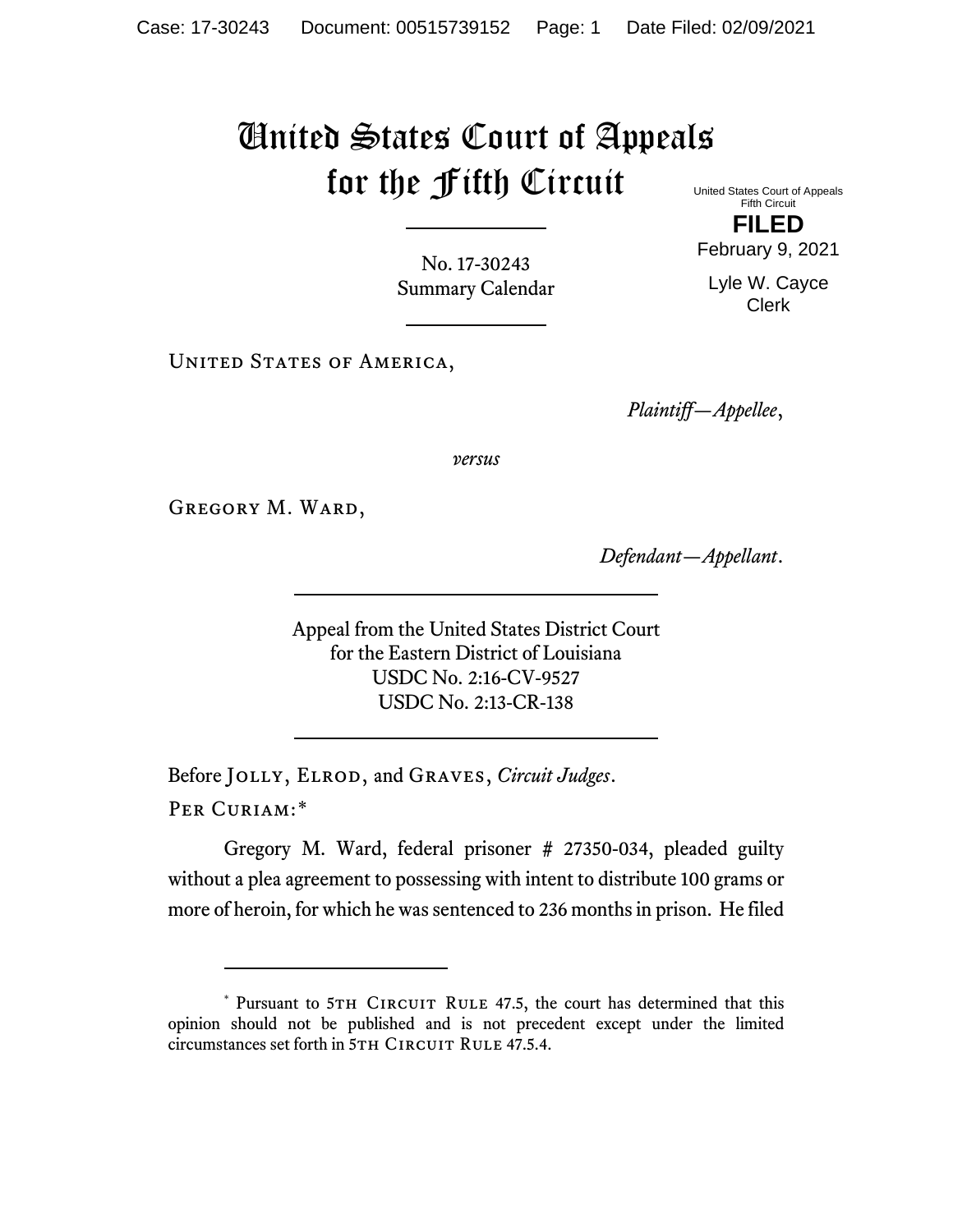## United States Court of Appeals for the Fifth Circuit

United States Court of Appeals Fifth Circuit

No. 17-30243 Summary Calendar

UNITED STATES OF AMERICA,

*Plaintiff—Appellee*,

*versus*

GREGORY M. WARD,

*Defendant—Appellant*.

Appeal from the United States District Court for the Eastern District of Louisiana USDC No. 2:16-CV-9527 USDC No. 2:13-CR-138

Before Jolly, Elrod, and Graves, *Circuit Judges*. Per Curiam:[\\*](#page-0-0)

Gregory M. Ward, federal prisoner # 27350-034, pleaded guilty without a plea agreement to possessing with intent to distribute 100 grams or more of heroin, for which he was sentenced to 236 months in prison. He filed

**FILED** February 9, 2021

Lyle W. Cayce Clerk

<span id="page-0-0"></span><sup>\*</sup> Pursuant to 5TH CIRCUIT RULE 47.5, the court has determined that this opinion should not be published and is not precedent except under the limited circumstances set forth in 5TH CIRCUIT RULE 47.5.4.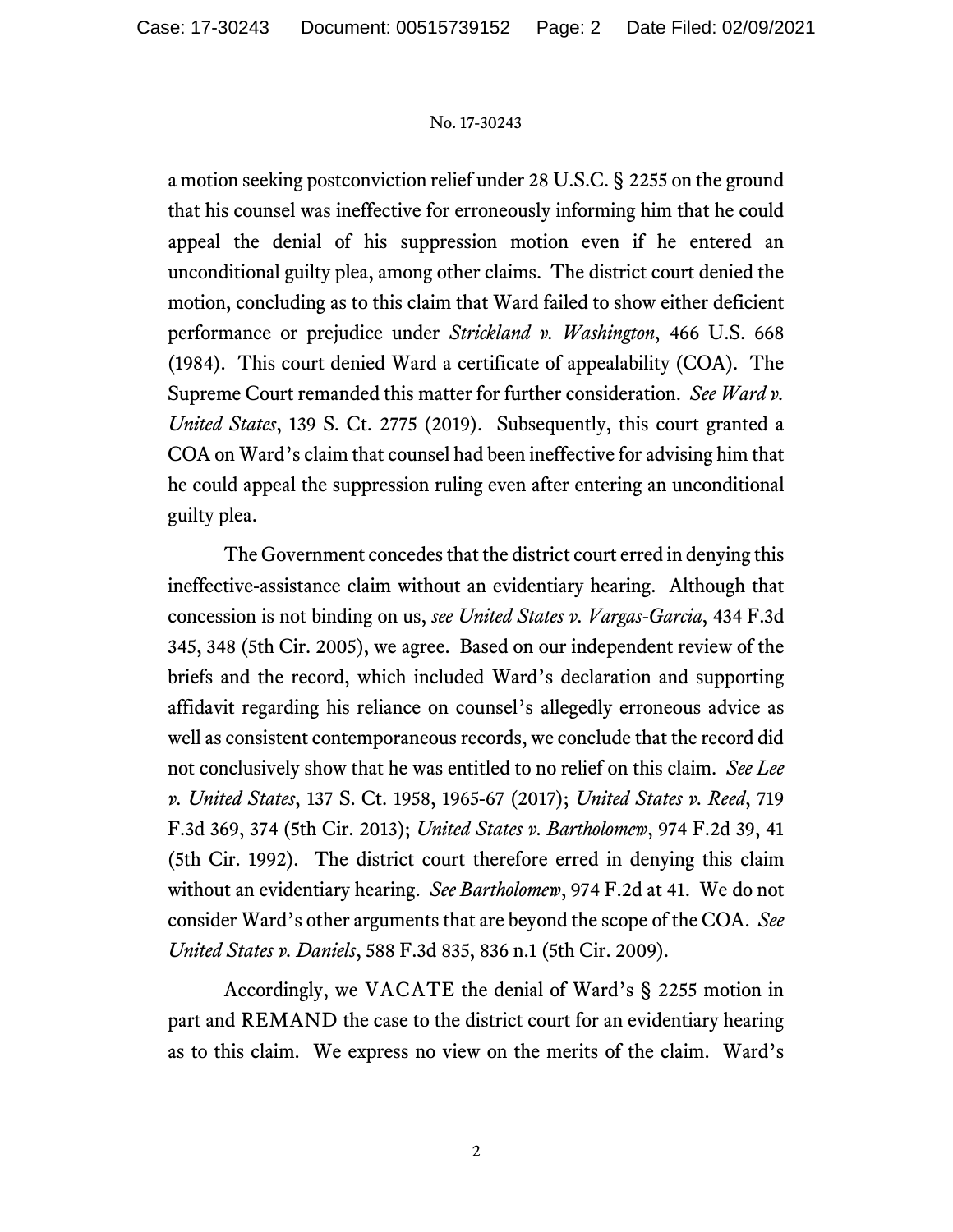## No. 17-30243

a motion seeking postconviction relief under 28 U.S.C. § 2255 on the ground that his counsel was ineffective for erroneously informing him that he could appeal the denial of his suppression motion even if he entered an unconditional guilty plea, among other claims. The district court denied the motion, concluding as to this claim that Ward failed to show either deficient performance or prejudice under *Strickland v. Washington*, 466 U.S. 668 (1984). This court denied Ward a certificate of appealability (COA). The Supreme Court remanded this matter for further consideration. *See Ward v. United States*, 139 S. Ct. 2775 (2019). Subsequently, this court granted a COA on Ward's claim that counsel had been ineffective for advising him that he could appeal the suppression ruling even after entering an unconditional guilty plea.

The Government concedes that the district court erred in denying this ineffective-assistance claim without an evidentiary hearing. Although that concession is not binding on us, *see United States v. Vargas-Garcia*, 434 F.3d 345, 348 (5th Cir. 2005), we agree. Based on our independent review of the briefs and the record, which included Ward's declaration and supporting affidavit regarding his reliance on counsel's allegedly erroneous advice as well as consistent contemporaneous records, we conclude that the record did not conclusively show that he was entitled to no relief on this claim. *See Lee v. United States*, 137 S. Ct. 1958, 1965-67 (2017); *United States v. Reed*, 719 F.3d 369, 374 (5th Cir. 2013); *United States v. Bartholomew*, 974 F.2d 39, 41 (5th Cir. 1992). The district court therefore erred in denying this claim without an evidentiary hearing. *See Bartholomew*, 974 F.2d at 41. We do not consider Ward's other arguments that are beyond the scope of the COA. *See United States v. Daniels*, 588 F.3d 835, 836 n.1 (5th Cir. 2009).

Accordingly, we VACATE the denial of Ward's § 2255 motion in part and REMAND the case to the district court for an evidentiary hearing as to this claim. We express no view on the merits of the claim. Ward's